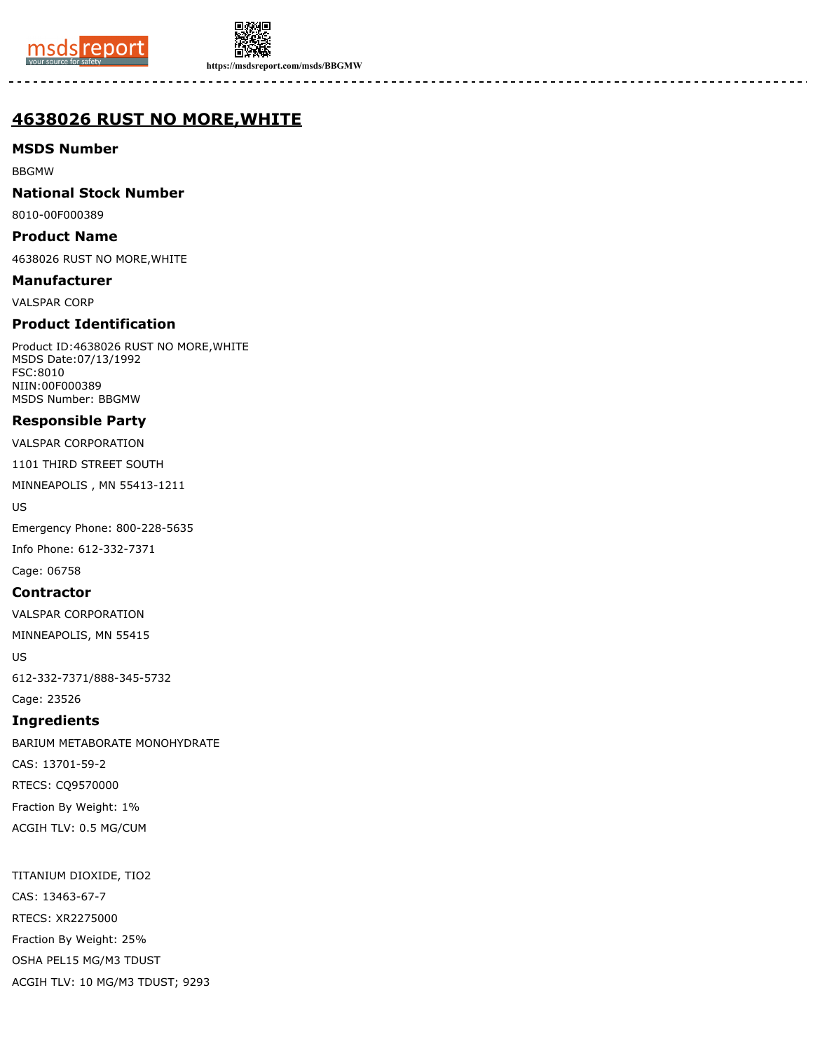



**https://msdsreport.com/msds/BBGMW**

# **4638026 RUST NO MORE,WHITE**

**MSDS Number**

BBGMW

**National Stock Number**

8010-00F000389

**Product Name**

4638026 RUST NO MORE,WHITE

**Manufacturer** VALSPAR CORP

**Product Identification**

Product ID:4638026 RUST NO MORE,WHITE MSDS Date:07/13/1992 FSC:8010 NIIN:00F000389 MSDS Number: BBGMW

# **Responsible Party**

VALSPAR CORPORATION

1101 THIRD STREET SOUTH

MINNEAPOLIS , MN 55413-1211

US

Emergency Phone: 800-228-5635 Info Phone: 612-332-7371 Cage: 06758

**Contractor**

VALSPAR CORPORATION

MINNEAPOLIS, MN 55415

US

612-332-7371/888-345-5732

Cage: 23526

## **Ingredients**

BARIUM METABORATE MONOHYDRATE CAS: 13701-59-2 RTECS: CQ9570000 Fraction By Weight: 1% ACGIH TLV: 0.5 MG/CUM

TITANIUM DIOXIDE, TIO2 CAS: 13463-67-7 RTECS: XR2275000 Fraction By Weight: 25% OSHA PEL15 MG/M3 TDUST ACGIH TLV: 10 MG/M3 TDUST; 9293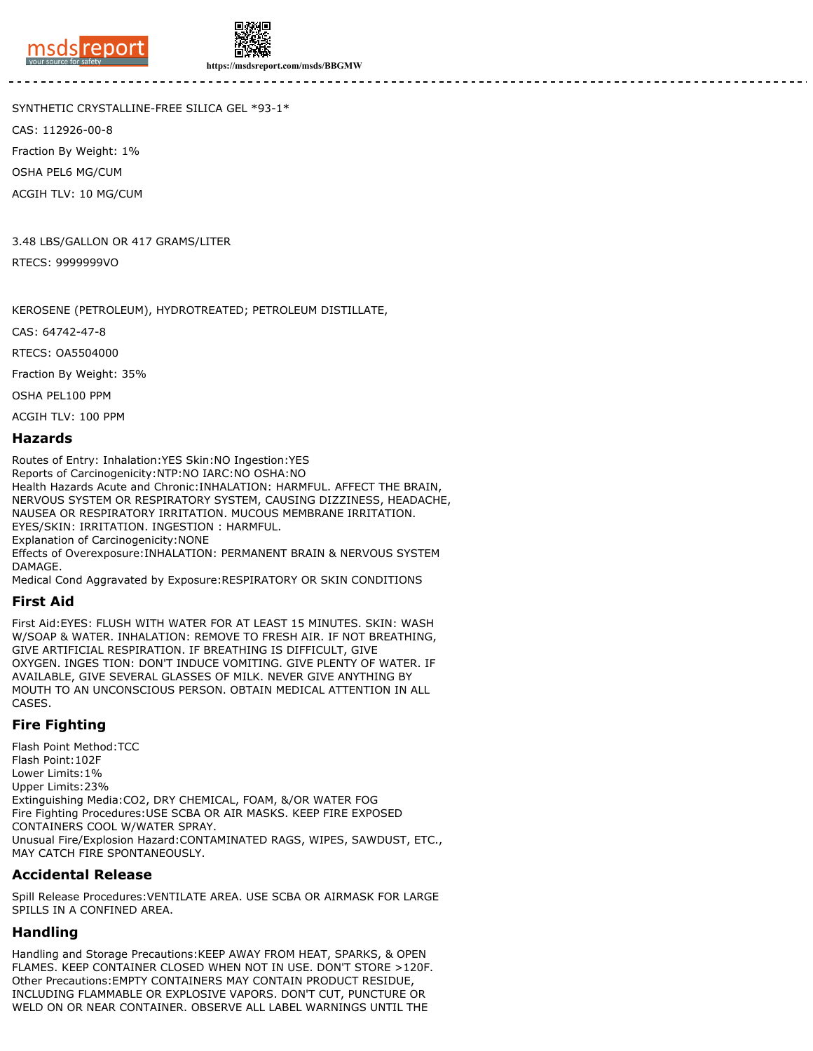



**https://msdsreport.com/msds/BBGMW**

SYNTHETIC CRYSTALLINE-FREE SILICA GEL \*93-1\*

CAS: 112926-00-8

Fraction By Weight: 1%

OSHA PEL6 MG/CUM

ACGIH TLV: 10 MG/CUM

3.48 LBS/GALLON OR 417 GRAMS/LITER RTECS: 9999999VO

KEROSENE (PETROLEUM), HYDROTREATED; PETROLEUM DISTILLATE,

CAS: 64742-47-8

RTECS: OA5504000

Fraction By Weight: 35%

OSHA PEL100 PPM

ACGIH TLV: 100 PPM

#### **Hazards**

Routes of Entry: Inhalation:YES Skin:NO Ingestion:YES Reports of Carcinogenicity:NTP:NO IARC:NO OSHA:NO Health Hazards Acute and Chronic:INHALATION: HARMFUL. AFFECT THE BRAIN, NERVOUS SYSTEM OR RESPIRATORY SYSTEM, CAUSING DIZZINESS, HEADACHE, NAUSEA OR RESPIRATORY IRRITATION. MUCOUS MEMBRANE IRRITATION. EYES/SKIN: IRRITATION. INGESTION : HARMFUL. Explanation of Carcinogenicity:NONE Effects of Overexposure:INHALATION: PERMANENT BRAIN & NERVOUS SYSTEM **DAMAGE** Medical Cond Aggravated by Exposure:RESPIRATORY OR SKIN CONDITIONS

## **First Aid**

First Aid:EYES: FLUSH WITH WATER FOR AT LEAST 15 MINUTES. SKIN: WASH W/SOAP & WATER. INHALATION: REMOVE TO FRESH AIR. IF NOT BREATHING, GIVE ARTIFICIAL RESPIRATION. IF BREATHING IS DIFFICULT, GIVE OXYGEN. INGES TION: DON'T INDUCE VOMITING. GIVE PLENTY OF WATER. IF AVAILABLE, GIVE SEVERAL GLASSES OF MILK. NEVER GIVE ANYTHING BY MOUTH TO AN UNCONSCIOUS PERSON. OBTAIN MEDICAL ATTENTION IN ALL CASES.

## **Fire Fighting**

Flash Point Method:TCC Flash Point:102F Lower Limits:1% Upper Limits:23% Extinguishing Media:CO2, DRY CHEMICAL, FOAM, &/OR WATER FOG Fire Fighting Procedures:USE SCBA OR AIR MASKS. KEEP FIRE EXPOSED CONTAINERS COOL W/WATER SPRAY. Unusual Fire/Explosion Hazard:CONTAMINATED RAGS, WIPES, SAWDUST, ETC., MAY CATCH FIRE SPONTANEOUSLY.

## **Accidental Release**

Spill Release Procedures:VENTILATE AREA. USE SCBA OR AIRMASK FOR LARGE SPILLS IN A CONFINED AREA.

## **Handling**

Handling and Storage Precautions:KEEP AWAY FROM HEAT, SPARKS, & OPEN FLAMES. KEEP CONTAINER CLOSED WHEN NOT IN USE. DON'T STORE >120F. Other Precautions:EMPTY CONTAINERS MAY CONTAIN PRODUCT RESIDUE, INCLUDING FLAMMABLE OR EXPLOSIVE VAPORS. DON'T CUT, PUNCTURE OR WELD ON OR NEAR CONTAINER. OBSERVE ALL LABEL WARNINGS UNTIL THE